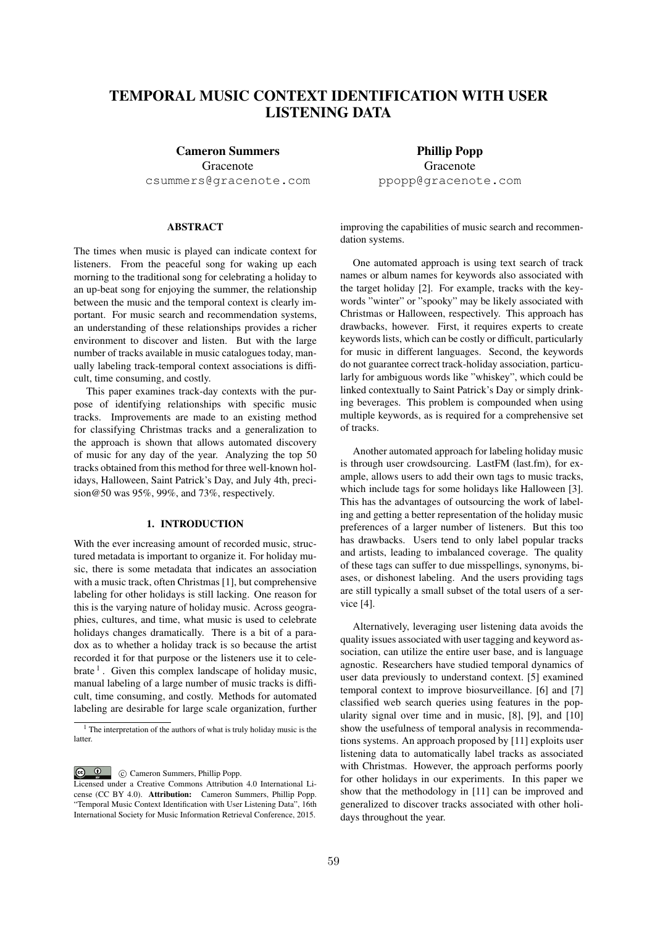# TEMPORAL MUSIC CONTEXT IDENTIFICATION WITH USER LISTENING DATA

Cameron Summers Gracenote csummers@gracenote.com

# ABSTRACT

The times when music is played can indicate context for listeners. From the peaceful song for waking up each morning to the traditional song for celebrating a holiday to an up-beat song for enjoying the summer, the relationship between the music and the temporal context is clearly important. For music search and recommendation systems, an understanding of these relationships provides a richer environment to discover and listen. But with the large number of tracks available in music catalogues today, manually labeling track-temporal context associations is difficult, time consuming, and costly.

This paper examines track-day contexts with the purpose of identifying relationships with specific music tracks. Improvements are made to an existing method for classifying Christmas tracks and a generalization to the approach is shown that allows automated discovery of music for any day of the year. Analyzing the top 50 tracks obtained from this method for three well-known holidays, Halloween, Saint Patrick's Day, and July 4th, precision@50 was 95%, 99%, and 73%, respectively.

# 1. INTRODUCTION

With the ever increasing amount of recorded music, structured metadata is important to organize it. For holiday music, there is some metadata that indicates an association with a music track, often Christmas [1], but comprehensive labeling for other holidays is still lacking. One reason for this is the varying nature of holiday music. Across geographies, cultures, and time, what music is used to celebrate holidays changes dramatically. There is a bit of a paradox as to whether a holiday track is so because the artist recorded it for that purpose or the listeners use it to celebrate  $\frac{1}{1}$ . Given this complex landscape of holiday music, manual labeling of a large number of music tracks is difficult, time consuming, and costly. Methods for automated labeling are desirable for large scale organization, further

C Cameron Summers, Phillip Popp.

Phillip Popp Gracenote ppopp@gracenote.com

improving the capabilities of music search and recommendation systems.

One automated approach is using text search of track names or album names for keywords also associated with the target holiday [2]. For example, tracks with the keywords "winter" or "spooky" may be likely associated with Christmas or Halloween, respectively. This approach has drawbacks, however. First, it requires experts to create keywords lists, which can be costly or difficult, particularly for music in different languages. Second, the keywords do not guarantee correct track-holiday association, particularly for ambiguous words like "whiskey", which could be linked contextually to Saint Patrick's Day or simply drinking beverages. This problem is compounded when using multiple keywords, as is required for a comprehensive set of tracks.

Another automated approach for labeling holiday music is through user crowdsourcing. LastFM (last.fm), for example, allows users to add their own tags to music tracks, which include tags for some holidays like Halloween [3]. This has the advantages of outsourcing the work of labeling and getting a better representation of the holiday music preferences of a larger number of listeners. But this too has drawbacks. Users tend to only label popular tracks and artists, leading to imbalanced coverage. The quality of these tags can suffer to due misspellings, synonyms, biases, or dishonest labeling. And the users providing tags are still typically a small subset of the total users of a service [4].

Alternatively, leveraging user listening data avoids the quality issues associated with user tagging and keyword association, can utilize the entire user base, and is language agnostic. Researchers have studied temporal dynamics of user data previously to understand context. [5] examined temporal context to improve biosurveillance. [6] and [7] classified web search queries using features in the popularity signal over time and in music, [8], [9], and [10] show the usefulness of temporal analysis in recommendations systems. An approach proposed by [11] exploits user listening data to automatically label tracks as associated with Christmas. However, the approach performs poorly for other holidays in our experiments. In this paper we show that the methodology in [11] can be improved and generalized to discover tracks associated with other holidays throughout the year.

 $1$  The interpretation of the authors of what is truly holiday music is the **latter** 

Licensed under a Creative Commons Attribution 4.0 International License (CC BY 4.0). Attribution: Cameron Summers, Phillip Popp. "Temporal Music Context Identification with User Listening Data", 16th International Society for Music Information Retrieval Conference, 2015.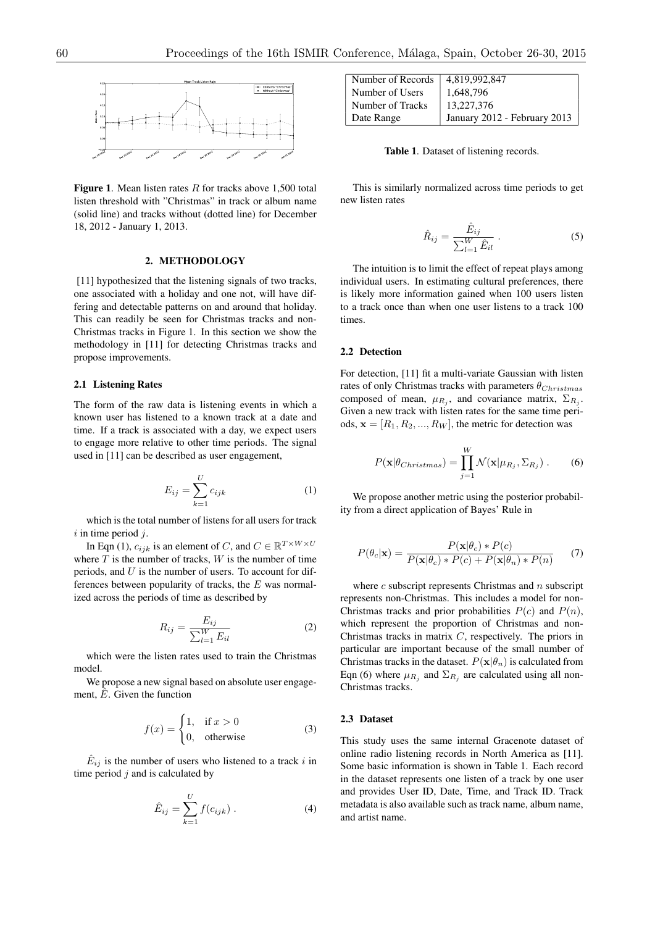

Figure 1. Mean listen rates *R* for tracks above 1,500 total listen threshold with "Christmas" in track or album name (solid line) and tracks without (dotted line) for December 18, 2012 - January 1, 2013.

# 2. METHODOLOGY

[11] hypothesized that the listening signals of two tracks, one associated with a holiday and one not, will have differing and detectable patterns on and around that holiday. This can readily be seen for Christmas tracks and non-Christmas tracks in Figure 1. In this section we show the methodology in [11] for detecting Christmas tracks and propose improvements.

#### 2.1 Listening Rates

The form of the raw data is listening events in which a known user has listened to a known track at a date and time. If a track is associated with a day, we expect users to engage more relative to other time periods. The signal used in [11] can be described as user engagement,

$$
E_{ij} = \sum_{k=1}^{U} c_{ijk} \tag{1}
$$

which is the total number of listens for all users for track *i* in time period *j*.

In Eqn (1),  $c_{ijk}$  is an element of *C*, and  $C \in \mathbb{R}^{T \times W \times U}$ where  $T$  is the number of tracks,  $W$  is the number of time periods, and *U* is the number of users. To account for differences between popularity of tracks, the *E* was normalized across the periods of time as described by

$$
R_{ij} = \frac{E_{ij}}{\sum_{l=1}^{W} E_{il}} \tag{2}
$$

which were the listen rates used to train the Christmas model.

We propose a new signal based on absolute user engagement,  $\hat{E}$ . Given the function

$$
f(x) = \begin{cases} 1, & \text{if } x > 0 \\ 0, & \text{otherwise} \end{cases}
$$
 (3)

 $E_{ij}$  is the number of users who listened to a track *i* in time period *j* and is calculated by

$$
\hat{E}_{ij} = \sum_{k=1}^{U} f(c_{ijk}) .
$$
 (4)

| Number of Records | 4,819,992,847                |
|-------------------|------------------------------|
| Number of Users   | 1.648.796                    |
| Number of Tracks  | 13.227.376                   |
| Date Range        | January 2012 - February 2013 |

Table 1. Dataset of listening records.

This is similarly normalized across time periods to get new listen rates

$$
\hat{R}_{ij} = \frac{\hat{E}_{ij}}{\sum_{l=1}^{W} \hat{E}_{il}}.
$$
\n(5)

The intuition is to limit the effect of repeat plays among individual users. In estimating cultural preferences, there is likely more information gained when 100 users listen to a track once than when one user listens to a track 100 times.

## 2.2 Detection

For detection, [11] fit a multi-variate Gaussian with listen rates of only Christmas tracks with parameters  $θ_{Christmas}$ composed of mean,  $\mu_{R_i}$ , and covariance matrix,  $\Sigma_{R_i}$ . Given a new track with listen rates for the same time periods,  $\mathbf{x} = [R_1, R_2, ..., R_W]$ , the metric for detection was

$$
P(\mathbf{x}|\theta_{Christmas}) = \prod_{j=1}^{W} \mathcal{N}(\mathbf{x}|\mu_{R_j}, \Sigma_{R_j}).
$$
 (6)

We propose another metric using the posterior probability from a direct application of Bayes' Rule in

$$
P(\theta_c|\mathbf{x}) = \frac{P(\mathbf{x}|\theta_c) * P(c)}{P(\mathbf{x}|\theta_c) * P(c) + P(\mathbf{x}|\theta_n) * P(n)}
$$
(7)

where *c* subscript represents Christmas and *n* subscript represents non-Christmas. This includes a model for non-Christmas tracks and prior probabilities  $P(c)$  and  $P(n)$ , which represent the proportion of Christmas and non-Christmas tracks in matrix *C*, respectively. The priors in particular are important because of the small number of Christmas tracks in the dataset.  $P(\mathbf{x}|\theta_n)$  is calculated from Eqn (6) where  $\mu_{R_i}$  and  $\Sigma_{R_i}$  are calculated using all non-Christmas tracks.

#### 2.3 Dataset

This study uses the same internal Gracenote dataset of online radio listening records in North America as [11]. Some basic information is shown in Table 1. Each record in the dataset represents one listen of a track by one user and provides User ID, Date, Time, and Track ID. Track metadata is also available such as track name, album name, and artist name.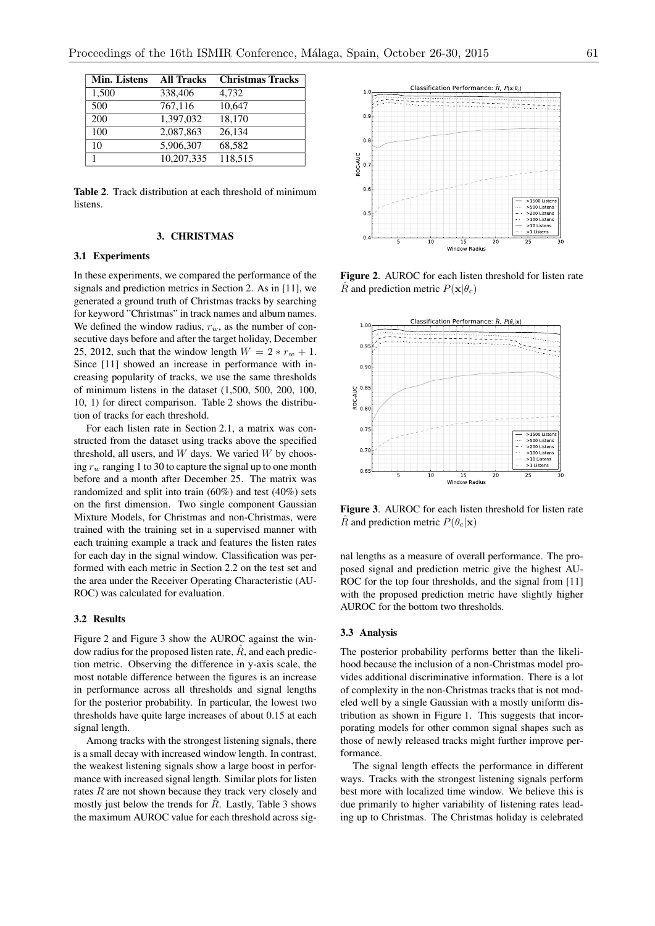| <b>Min. Listens</b> | <b>All Tracks</b> | <b>Christmas Tracks</b> |
|---------------------|-------------------|-------------------------|
| 1,500               | 338,406           | 4,732                   |
| 500                 | 767,116           | 10,647                  |
| 200                 | 1,397,032         | 18,170                  |
| 100                 | 2,087,863         | 26,134                  |
| 10                  | 5,906,307         | 68,582                  |
|                     | 10,207,335        | 118,515                 |

Table 2. Track distribution at each threshold of minimum listens.

# 3. CHRISTMAS

#### 3.1 Experiments

In these experiments, we compared the performance of the signals and prediction metrics in Section 2. As in [11], we generated a ground truth of Christmas tracks by searching for keyword "Christmas" in track names and album names. We defined the window radius,  $r_w$ , as the number of consecutive days before and after the target holiday, December 25, 2012, such that the window length  $W = 2 * r_w + 1$ . Since [11] showed an increase in performance with increasing popularity of tracks, we use the same thresholds of minimum listens in the dataset (1,500, 500, 200, 100, 10, 1) for direct comparison. Table 2 shows the distribution of tracks for each threshold.

For each listen rate in Section 2.1, a matrix was constructed from the dataset using tracks above the specified threshold, all users, and *W* days. We varied *W* by choosing  $r_w$  ranging 1 to 30 to capture the signal up to one month before and a month after December 25. The matrix was randomized and split into train (60%) and test (40%) sets on the first dimension. Two single component Gaussian Mixture Models, for Christmas and non-Christmas, were trained with the training set in a supervised manner with each training example a track and features the listen rates for each day in the signal window. Classification was performed with each metric in Section 2.2 on the test set and the area under the Receiver Operating Characteristic (AU-ROC) was calculated for evaluation.

## 3.2 Results

Figure 2 and Figure 3 show the AUROC against the window radius for the proposed listen rate,  $\overline{R}$ , and each prediction metric. Observing the difference in y-axis scale, the most notable difference between the figures is an increase in performance across all thresholds and signal lengths for the posterior probability. In particular, the lowest two thresholds have quite large increases of about 0.15 at each signal length.

Among tracks with the strongest listening signals, there is a small decay with increased window length. In contrast, the weakest listening signals show a large boost in performance with increased signal length. Similar plots for listen rates *R* are not shown because they track very closely and mostly just below the trends for *R*. Lastly, Table 3 shows the maximum AUROC value for each threshold across sig-



Figure 2. AUROC for each listen threshold for listen rate *R* and prediction metric  $P(\mathbf{x}|\theta_c)$ 



Figure 3. AUROC for each listen threshold for listen rate  $\hat{R}$  and prediction metric  $P(\theta_c|\mathbf{x})$ 

nal lengths as a measure of overall performance. The proposed signal and prediction metric give the highest AU-ROC for the top four thresholds, and the signal from [11] with the proposed prediction metric have slightly higher AUROC for the bottom two thresholds.

#### 3.3 Analysis

The posterior probability performs better than the likelihood because the inclusion of a non-Christmas model provides additional discriminative information. There is a lot of complexity in the non-Christmas tracks that is not modeled well by a single Gaussian with a mostly uniform distribution as shown in Figure 1. This suggests that incorporating models for other common signal shapes such as those of newly released tracks might further improve performance.

The signal length effects the performance in different ways. Tracks with the strongest listening signals perform best more with localized time window. We believe this is due primarily to higher variability of listening rates leading up to Christmas. The Christmas holiday is celebrated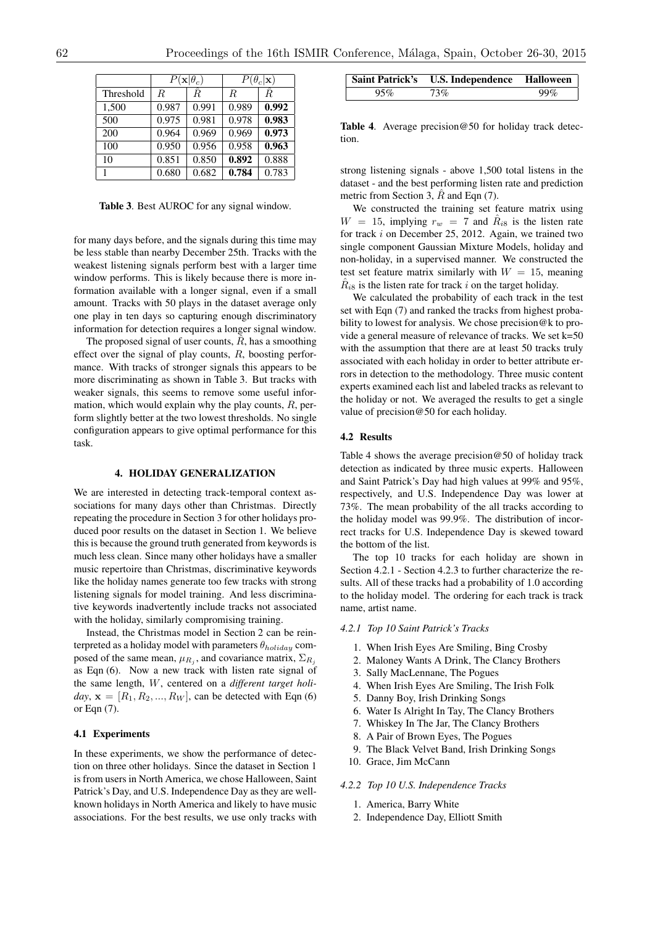|           | $P(\mathbf{x} \theta_c)$ |                      | $P(\theta_c \mathbf{x})$ |       |
|-----------|--------------------------|----------------------|--------------------------|-------|
| Threshold | R.                       | $\overline{\hat{R}}$ | R.                       | Ŕ.    |
| 1,500     | 0.987                    | 0.991                | 0.989                    | 0.992 |
| 500       | 0.975                    | 0.981                | 0.978                    | 0.983 |
| 200       | 0.964                    | 0.969                | 0.969                    | 0.973 |
| 100       | 0.950                    | 0.956                | 0.958                    | 0.963 |
| 10        | 0.851                    | 0.850                | 0.892                    | 0.888 |
|           | 0.680                    | 0.682                | 0.784                    | 0.783 |

Table 3. Best AUROC for any signal window.

for many days before, and the signals during this time may be less stable than nearby December 25th. Tracks with the weakest listening signals perform best with a larger time window performs. This is likely because there is more information available with a longer signal, even if a small amount. Tracks with 50 plays in the dataset average only one play in ten days so capturing enough discriminatory information for detection requires a longer signal window.

The proposed signal of user counts,  $\hat{R}$ , has a smoothing effect over the signal of play counts, *R*, boosting performance. With tracks of stronger signals this appears to be more discriminating as shown in Table 3. But tracks with weaker signals, this seems to remove some useful information, which would explain why the play counts, *R*, perform slightly better at the two lowest thresholds. No single configuration appears to give optimal performance for this task.

#### 4. HOLIDAY GENERALIZATION

We are interested in detecting track-temporal context associations for many days other than Christmas. Directly repeating the procedure in Section 3 for other holidays produced poor results on the dataset in Section 1. We believe this is because the ground truth generated from keywords is much less clean. Since many other holidays have a smaller music repertoire than Christmas, discriminative keywords like the holiday names generate too few tracks with strong listening signals for model training. And less discriminative keywords inadvertently include tracks not associated with the holiday, similarly compromising training.

Instead, the Christmas model in Section 2 can be reinterpreted as a holiday model with parameters  $\theta_{holding}$  composed of the same mean,  $\mu_{R_i}$ , and covariance matrix,  $\Sigma_{R_i}$ as Eqn (6). Now a new track with listen rate signal of the same length, *W*, centered on a *different target holi* $day$ ,  $\mathbf{x} = [R_1, R_2, ..., R_W]$ , can be detected with Eqn (6) or Eqn (7).

## 4.1 Experiments

In these experiments, we show the performance of detection on three other holidays. Since the dataset in Section 1 is from users in North America, we chose Halloween, Saint Patrick's Day, and U.S. Independence Day as they are wellknown holidays in North America and likely to have music associations. For the best results, we use only tracks with

|     | Saint Patrick's U.S. Independence Halloween |     |
|-----|---------------------------------------------|-----|
| 95% | 73%                                         | 99% |

Table 4. Average precision@50 for holiday track detection.

strong listening signals - above 1,500 total listens in the dataset - and the best performing listen rate and prediction metric from Section 3, *R* and Eqn (7).

We constructed the training set feature matrix using  $W = 15$ , implying  $r_w = 7$  and  $R_{i8}$  is the listen rate for track *i* on December 25, 2012. Again, we trained two single component Gaussian Mixture Models, holiday and non-holiday, in a supervised manner. We constructed the test set feature matrix similarly with  $W = 15$ , meaning  $\hat{R}_{i8}$  is the listen rate for track *i* on the target holiday.

We calculated the probability of each track in the test set with Eqn (7) and ranked the tracks from highest probability to lowest for analysis. We chose precision@k to provide a general measure of relevance of tracks. We set k=50 with the assumption that there are at least 50 tracks truly associated with each holiday in order to better attribute errors in detection to the methodology. Three music content experts examined each list and labeled tracks as relevant to the holiday or not. We averaged the results to get a single value of precision@50 for each holiday.

#### 4.2 Results

Table 4 shows the average precision  $@50$  of holiday track detection as indicated by three music experts. Halloween and Saint Patrick's Day had high values at 99% and 95%, respectively, and U.S. Independence Day was lower at 73%. The mean probability of the all tracks according to the holiday model was 99.9%. The distribution of incorrect tracks for U.S. Independence Day is skewed toward the bottom of the list.

The top 10 tracks for each holiday are shown in Section 4.2.1 - Section 4.2.3 to further characterize the results. All of these tracks had a probability of 1.0 according to the holiday model. The ordering for each track is track name, artist name.

#### *4.2.1 Top 10 Saint Patrick's Tracks*

- 1. When Irish Eyes Are Smiling, Bing Crosby
- 2. Maloney Wants A Drink, The Clancy Brothers
- 3. Sally MacLennane, The Pogues
- 4. When Irish Eyes Are Smiling, The Irish Folk
- 5. Danny Boy, Irish Drinking Songs
- 6. Water Is Alright In Tay, The Clancy Brothers
- 7. Whiskey In The Jar, The Clancy Brothers
- 8. A Pair of Brown Eyes, The Pogues
- 9. The Black Velvet Band, Irish Drinking Songs
- 10. Grace, Jim McCann

#### *4.2.2 Top 10 U.S. Independence Tracks*

- 1. America, Barry White
- 2. Independence Day, Elliott Smith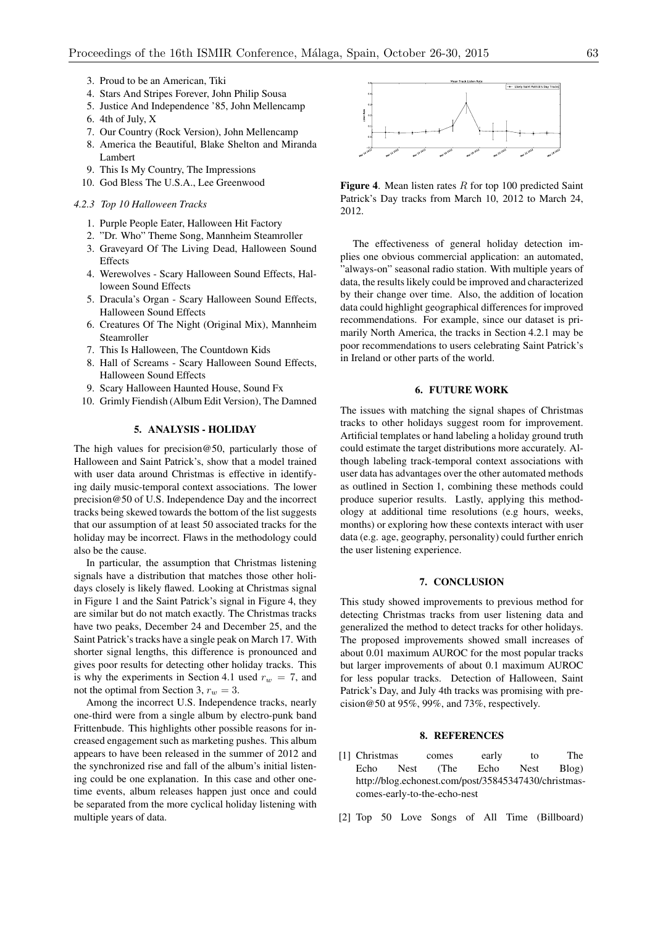- 3. Proud to be an American, Tiki
- 4. Stars And Stripes Forever, John Philip Sousa
- 5. Justice And Independence '85, John Mellencamp
- 6. 4th of July, X
- 7. Our Country (Rock Version), John Mellencamp
- 8. America the Beautiful, Blake Shelton and Miranda
- Lambert 9. This Is My Country, The Impressions
- 10. God Bless The U.S.A., Lee Greenwood

#### *4.2.3 Top 10 Halloween Tracks*

- 1. Purple People Eater, Halloween Hit Factory
- 2. "Dr. Who" Theme Song, Mannheim Steamroller
- 3. Graveyard Of The Living Dead, Halloween Sound **Effects**
- 4. Werewolves Scary Halloween Sound Effects, Halloween Sound Effects
- 5. Dracula's Organ Scary Halloween Sound Effects, Halloween Sound Effects
- 6. Creatures Of The Night (Original Mix), Mannheim Steamroller
- 7. This Is Halloween, The Countdown Kids
- 8. Hall of Screams Scary Halloween Sound Effects, Halloween Sound Effects
- 9. Scary Halloween Haunted House, Sound Fx
- 10. Grimly Fiendish (Album Edit Version), The Damned

# 5. ANALYSIS - HOLIDAY

The high values for precision@50, particularly those of Halloween and Saint Patrick's, show that a model trained with user data around Christmas is effective in identifying daily music-temporal context associations. The lower precision@50 of U.S. Independence Day and the incorrect tracks being skewed towards the bottom of the list suggests that our assumption of at least 50 associated tracks for the holiday may be incorrect. Flaws in the methodology could also be the cause.

In particular, the assumption that Christmas listening signals have a distribution that matches those other holidays closely is likely flawed. Looking at Christmas signal in Figure 1 and the Saint Patrick's signal in Figure 4, they are similar but do not match exactly. The Christmas tracks have two peaks, December 24 and December 25, and the Saint Patrick's tracks have a single peak on March 17. With shorter signal lengths, this difference is pronounced and gives poor results for detecting other holiday tracks. This is why the experiments in Section 4.1 used  $r_w = 7$ , and not the optimal from Section 3, *r<sup>w</sup>* = 3.

Among the incorrect U.S. Independence tracks, nearly one-third were from a single album by electro-punk band Frittenbude. This highlights other possible reasons for increased engagement such as marketing pushes. This album appears to have been released in the summer of 2012 and the synchronized rise and fall of the album's initial listening could be one explanation. In this case and other onetime events, album releases happen just once and could be separated from the more cyclical holiday listening with multiple years of data.



Figure 4. Mean listen rates *R* for top 100 predicted Saint Patrick's Day tracks from March 10, 2012 to March 24, 2012.

The effectiveness of general holiday detection implies one obvious commercial application: an automated, "always-on" seasonal radio station. With multiple years of data, the results likely could be improved and characterized by their change over time. Also, the addition of location data could highlight geographical differences for improved recommendations. For example, since our dataset is primarily North America, the tracks in Section 4.2.1 may be poor recommendations to users celebrating Saint Patrick's in Ireland or other parts of the world.

# 6. FUTURE WORK

The issues with matching the signal shapes of Christmas tracks to other holidays suggest room for improvement. Artificial templates or hand labeling a holiday ground truth could estimate the target distributions more accurately. Although labeling track-temporal context associations with user data has advantages over the other automated methods as outlined in Section 1, combining these methods could produce superior results. Lastly, applying this methodology at additional time resolutions (e.g hours, weeks, months) or exploring how these contexts interact with user data (e.g. age, geography, personality) could further enrich the user listening experience.

## 7. CONCLUSION

This study showed improvements to previous method for detecting Christmas tracks from user listening data and generalized the method to detect tracks for other holidays. The proposed improvements showed small increases of about 0.01 maximum AUROC for the most popular tracks but larger improvements of about 0.1 maximum AUROC for less popular tracks. Detection of Halloween, Saint Patrick's Day, and July 4th tracks was promising with precision@50 at 95%, 99%, and 73%, respectively.

#### 8. REFERENCES

- [1] Christmas comes early to The Echo Nest (The Echo Nest Blog) http://blog.echonest.com/post/35845347430/christmascomes-early-to-the-echo-nest
- [2] Top 50 Love Songs of All Time (Billboard)